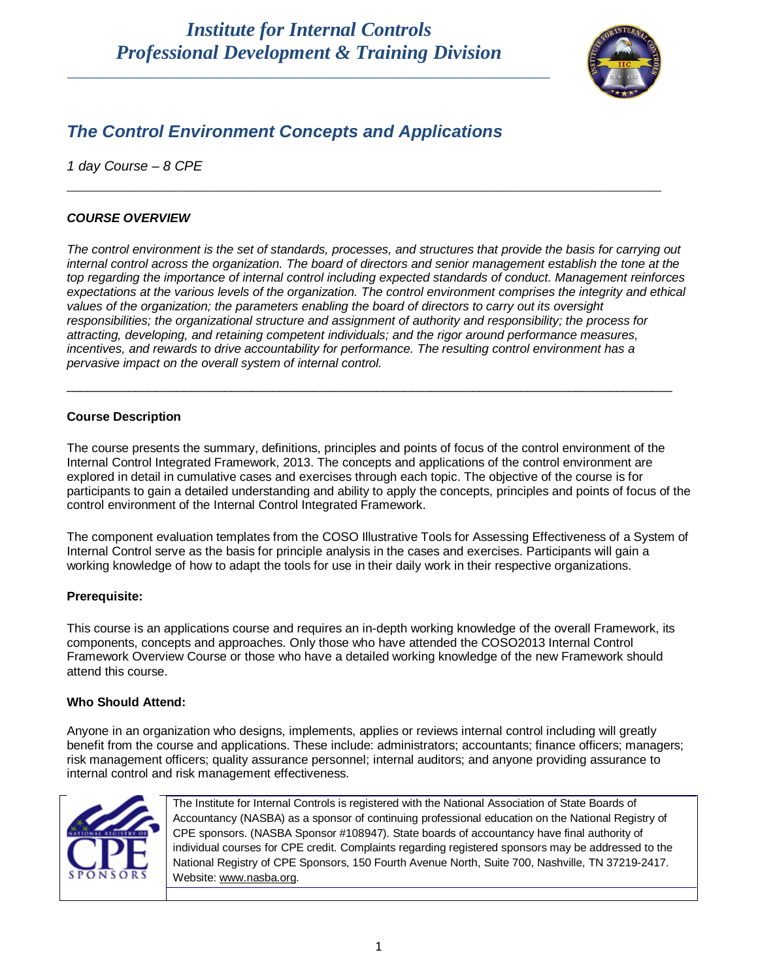## *Institute for Internal Controls Professional Development & Training Division*

\_\_\_\_\_\_\_\_\_\_\_\_\_\_\_\_\_\_\_\_\_\_\_\_\_\_\_\_\_\_\_\_\_\_\_\_\_\_\_\_\_\_\_\_\_\_\_\_\_\_\_\_\_\_\_\_\_\_\_\_\_\_\_\_\_



### *The Control Environment Concepts and Applications*

*1 day Course – 8 CPE* 

#### *COURSE OVERVIEW*

*The control environment is the set of standards, processes, and structures that provide the basis for carrying out internal control across the organization. The board of directors and senior management establish the tone at the top regarding the importance of internal control including expected standards of conduct. Management reinforces expectations at the various levels of the organization. The control environment comprises the integrity and ethical values of the organization; the parameters enabling the board of directors to carry out its oversight responsibilities; the organizational structure and assignment of authority and responsibility; the process for attracting, developing, and retaining competent individuals; and the rigor around performance measures, incentives, and rewards to drive accountability for performance. The resulting control environment has a pervasive impact on the overall system of internal control.*

\_\_\_\_\_\_\_\_\_\_\_\_\_\_\_\_\_\_\_\_\_\_\_\_\_\_\_\_\_\_\_\_\_\_\_\_\_\_\_\_\_\_\_\_\_\_\_\_\_\_\_\_\_\_\_\_\_\_\_\_\_\_\_\_\_\_\_\_\_\_\_\_\_\_\_\_\_\_\_\_\_\_\_\_\_\_\_\_

**\_\_\_\_\_\_\_\_\_\_\_\_\_\_\_\_\_\_\_\_\_\_\_\_\_\_\_\_\_\_\_\_\_\_\_\_\_\_\_\_\_\_\_\_\_\_\_\_\_\_\_\_\_\_\_\_\_\_\_\_\_\_\_\_**

#### **Course Description**

The course presents the summary, definitions, principles and points of focus of the control environment of the Internal Control Integrated Framework, 2013. The concepts and applications of the control environment are explored in detail in cumulative cases and exercises through each topic. The objective of the course is for participants to gain a detailed understanding and ability to apply the concepts, principles and points of focus of the control environment of the Internal Control Integrated Framework.

The component evaluation templates from the COSO Illustrative Tools for Assessing Effectiveness of a System of Internal Control serve as the basis for principle analysis in the cases and exercises. Participants will gain a working knowledge of how to adapt the tools for use in their daily work in their respective organizations.

#### **Prerequisite:**

This course is an applications course and requires an in-depth working knowledge of the overall Framework, its components, concepts and approaches. Only those who have attended the COSO2013 Internal Control Framework Overview Course or those who have a detailed working knowledge of the new Framework should attend this course.

#### **Who Should Attend:**

Anyone in an organization who designs, implements, applies or reviews internal control including will greatly benefit from the course and applications. These include: administrators; accountants; finance officers; managers; risk management officers; quality assurance personnel; internal auditors; and anyone providing assurance to internal control and risk management effectiveness.



The Institute for Internal Controls is registered with the National Association of State Boards of Accountancy (NASBA) as a sponsor of continuing professional education on the National Registry of CPE sponsors. (NASBA Sponsor #108947). State boards of accountancy have final authority of individual courses for CPE credit. Complaints regarding registered sponsors may be addressed to the National Registry of CPE Sponsors, 150 Fourth Avenue North, Suite 700, Nashville, TN 37219-2417. Website: [www.nasba.org.](http://www.nasba.org/)